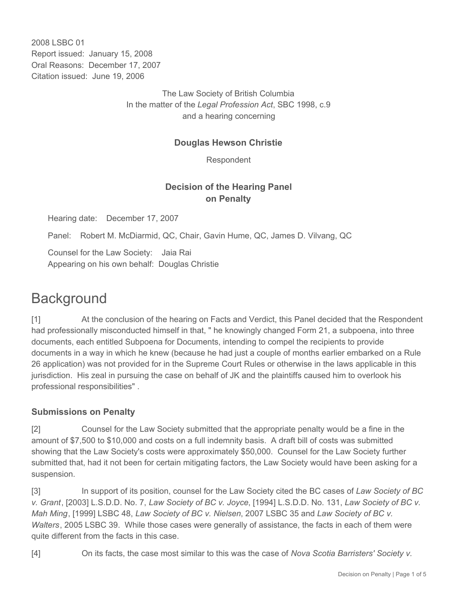2008 LSBC 01 Report issued: January 15, 2008 Oral Reasons: December 17, 2007 Citation issued: June 19, 2006

> The Law Society of British Columbia In the matter of the *Legal Profession Act*, SBC 1998, c.9 and a hearing concerning

#### **Douglas Hewson Christie**

Respondent

### **Decision of the Hearing Panel on Penalty**

Hearing date: December 17, 2007

Panel: Robert M. McDiarmid, QC, Chair, Gavin Hume, QC, James D. Vilvang, QC

Counsel for the Law Society: Jaia Rai Appearing on his own behalf: Douglas Christie

# **Background**

[1] At the conclusion of the hearing on Facts and Verdict, this Panel decided that the Respondent had professionally misconducted himself in that, " he knowingly changed Form 21, a subpoena, into three documents, each entitled Subpoena for Documents, intending to compel the recipients to provide documents in a way in which he knew (because he had just a couple of months earlier embarked on a Rule 26 application) was not provided for in the Supreme Court Rules or otherwise in the laws applicable in this jurisdiction. His zeal in pursuing the case on behalf of JK and the plaintiffs caused him to overlook his professional responsibilities" .

### **Submissions on Penalty**

[2] Counsel for the Law Society submitted that the appropriate penalty would be a fine in the amount of \$7,500 to \$10,000 and costs on a full indemnity basis. A draft bill of costs was submitted showing that the Law Society's costs were approximately \$50,000. Counsel for the Law Society further submitted that, had it not been for certain mitigating factors, the Law Society would have been asking for a suspension.

[3] In support of its position, counsel for the Law Society cited the BC cases of *Law Society of BC v. Grant*, [2003] L.S.D.D. No. 7, *Law Society of BC v. Joyce*, [1994] L.S.D.D. No. 131, *Law Society of BC v. Mah Ming*, [1999] LSBC 48, *Law Society of BC v. Nielsen*, 2007 LSBC 35 and *Law Society of BC v. Walters*, 2005 LSBC 39. While those cases were generally of assistance, the facts in each of them were quite different from the facts in this case.

[4] On its facts, the case most similar to this was the case of *Nova Scotia Barristers' Society v.*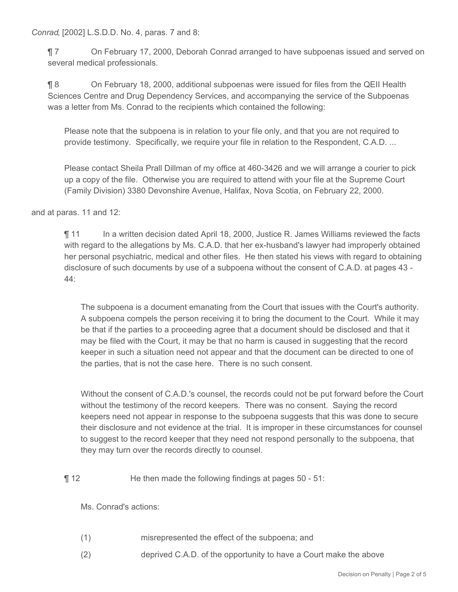*Conrad*, [2002] L.S.D.D. No. 4, paras. 7 and 8:

¶ 7 On February 17, 2000, Deborah Conrad arranged to have subpoenas issued and served on several medical professionals.

¶ 8 On February 18, 2000, additional subpoenas were issued for files from the QEII Health Sciences Centre and Drug Dependency Services, and accompanying the service of the Subpoenas was a letter from Ms. Conrad to the recipients which contained the following:

Please note that the subpoena is in relation to your file only, and that you are not required to provide testimony. Specifically, we require your file in relation to the Respondent, C.A.D. ...

Please contact Sheila Prall Dillman of my office at 460-3426 and we will arrange a courier to pick up a copy of the file. Otherwise you are required to attend with your file at the Supreme Court (Family Division) 3380 Devonshire Avenue, Halifax, Nova Scotia, on February 22, 2000.

and at paras. 11 and 12:

¶ 11 In a written decision dated April 18, 2000, Justice R. James Williams reviewed the facts with regard to the allegations by Ms. C.A.D. that her ex-husband's lawyer had improperly obtained her personal psychiatric, medical and other files. He then stated his views with regard to obtaining disclosure of such documents by use of a subpoena without the consent of C.A.D. at pages 43 - 44:

The subpoena is a document emanating from the Court that issues with the Court's authority. A subpoena compels the person receiving it to bring the document to the Court. While it may be that if the parties to a proceeding agree that a document should be disclosed and that it may be filed with the Court, it may be that no harm is caused in suggesting that the record keeper in such a situation need not appear and that the document can be directed to one of the parties, that is not the case here. There is no such consent.

Without the consent of C.A.D.'s counsel, the records could not be put forward before the Court without the testimony of the record keepers. There was no consent. Saying the record keepers need not appear in response to the subpoena suggests that this was done to secure their disclosure and not evidence at the trial. It is improper in these circumstances for counsel to suggest to the record keeper that they need not respond personally to the subpoena, that they may turn over the records directly to counsel.

#### ¶ 12 He then made the following findings at pages 50 - 51:

Ms. Conrad's actions:

- (1) misrepresented the effect of the subpoena; and
- (2) deprived C.A.D. of the opportunity to have a Court make the above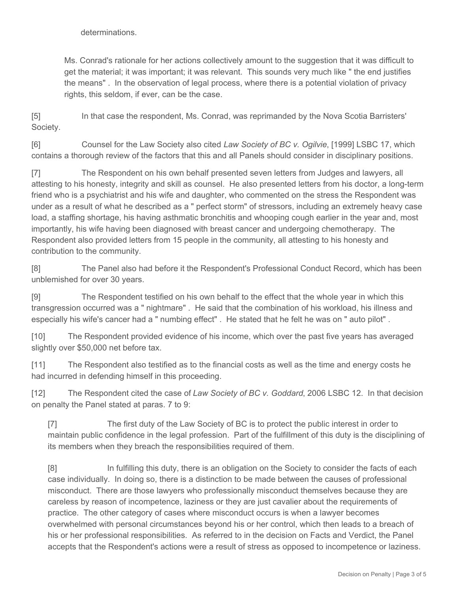determinations.

Ms. Conrad's rationale for her actions collectively amount to the suggestion that it was difficult to get the material; it was important; it was relevant. This sounds very much like " the end justifies the means" . In the observation of legal process, where there is a potential violation of privacy rights, this seldom, if ever, can be the case.

[5] In that case the respondent, Ms. Conrad, was reprimanded by the Nova Scotia Barristers' Society.

[6] Counsel for the Law Society also cited *Law Society of BC v. Ogilvie*, [1999] LSBC 17, which contains a thorough review of the factors that this and all Panels should consider in disciplinary positions.

[7] The Respondent on his own behalf presented seven letters from Judges and lawyers, all attesting to his honesty, integrity and skill as counsel. He also presented letters from his doctor, a long-term friend who is a psychiatrist and his wife and daughter, who commented on the stress the Respondent was under as a result of what he described as a " perfect storm" of stressors, including an extremely heavy case load, a staffing shortage, his having asthmatic bronchitis and whooping cough earlier in the year and, most importantly, his wife having been diagnosed with breast cancer and undergoing chemotherapy. The Respondent also provided letters from 15 people in the community, all attesting to his honesty and contribution to the community.

[8] The Panel also had before it the Respondent's Professional Conduct Record, which has been unblemished for over 30 years.

[9] The Respondent testified on his own behalf to the effect that the whole year in which this transgression occurred was a " nightmare" . He said that the combination of his workload, his illness and especially his wife's cancer had a " numbing effect" . He stated that he felt he was on " auto pilot" .

[10] The Respondent provided evidence of his income, which over the past five years has averaged slightly over \$50,000 net before tax.

[11] The Respondent also testified as to the financial costs as well as the time and energy costs he had incurred in defending himself in this proceeding.

[12] The Respondent cited the case of *Law Society of BC v. Goddard*, 2006 LSBC 12. In that decision on penalty the Panel stated at paras. 7 to 9:

[7] The first duty of the Law Society of BC is to protect the public interest in order to maintain public confidence in the legal profession. Part of the fulfillment of this duty is the disciplining of its members when they breach the responsibilities required of them.

[8] In fulfilling this duty, there is an obligation on the Society to consider the facts of each case individually. In doing so, there is a distinction to be made between the causes of professional misconduct. There are those lawyers who professionally misconduct themselves because they are careless by reason of incompetence, laziness or they are just cavalier about the requirements of practice. The other category of cases where misconduct occurs is when a lawyer becomes overwhelmed with personal circumstances beyond his or her control, which then leads to a breach of his or her professional responsibilities. As referred to in the decision on Facts and Verdict, the Panel accepts that the Respondent's actions were a result of stress as opposed to incompetence or laziness.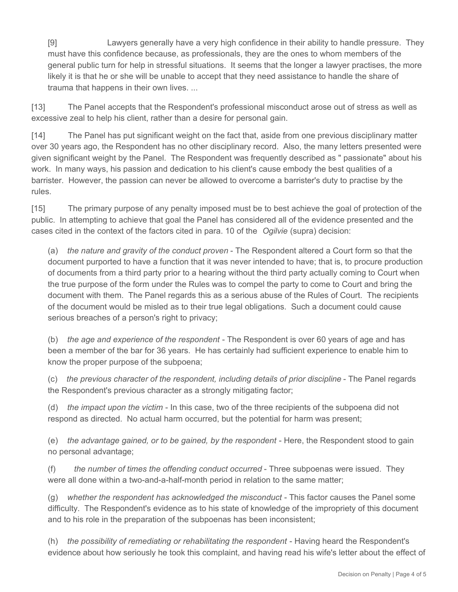[9] Lawyers generally have a very high confidence in their ability to handle pressure. They must have this confidence because, as professionals, they are the ones to whom members of the general public turn for help in stressful situations. It seems that the longer a lawyer practises, the more likely it is that he or she will be unable to accept that they need assistance to handle the share of trauma that happens in their own lives. ...

[13] The Panel accepts that the Respondent's professional misconduct arose out of stress as well as excessive zeal to help his client, rather than a desire for personal gain.

[14] The Panel has put significant weight on the fact that, aside from one previous disciplinary matter over 30 years ago, the Respondent has no other disciplinary record. Also, the many letters presented were given significant weight by the Panel. The Respondent was frequently described as " passionate" about his work. In many ways, his passion and dedication to his client's cause embody the best qualities of a barrister. However, the passion can never be allowed to overcome a barrister's duty to practise by the rules.

[15] The primary purpose of any penalty imposed must be to best achieve the goal of protection of the public. In attempting to achieve that goal the Panel has considered all of the evidence presented and the cases cited in the context of the factors cited in para. 10 of the *Ogilvie* (supra) decision:

(a) *the nature and gravity of the conduct proven* - The Respondent altered a Court form so that the document purported to have a function that it was never intended to have; that is, to procure production of documents from a third party prior to a hearing without the third party actually coming to Court when the true purpose of the form under the Rules was to compel the party to come to Court and bring the document with them. The Panel regards this as a serious abuse of the Rules of Court. The recipients of the document would be misled as to their true legal obligations. Such a document could cause serious breaches of a person's right to privacy;

(b) *the age and experience of the respondent* - The Respondent is over 60 years of age and has been a member of the bar for 36 years. He has certainly had sufficient experience to enable him to know the proper purpose of the subpoena;

(c) *the previous character of the respondent, including details of prior discipline* - The Panel regards the Respondent's previous character as a strongly mitigating factor;

(d) *the impact upon the victim* - In this case, two of the three recipients of the subpoena did not respond as directed. No actual harm occurred, but the potential for harm was present;

(e) *the advantage gained, or to be gained, by the respondent* - Here, the Respondent stood to gain no personal advantage;

(f) *the number of times the offending conduct occurred* - Three subpoenas were issued. They were all done within a two-and-a-half-month period in relation to the same matter;

(g) *whether the respondent has acknowledged the misconduct* - This factor causes the Panel some difficulty. The Respondent's evidence as to his state of knowledge of the impropriety of this document and to his role in the preparation of the subpoenas has been inconsistent;

(h) *the possibility of remediating or rehabilitating the respondent* - Having heard the Respondent's evidence about how seriously he took this complaint, and having read his wife's letter about the effect of